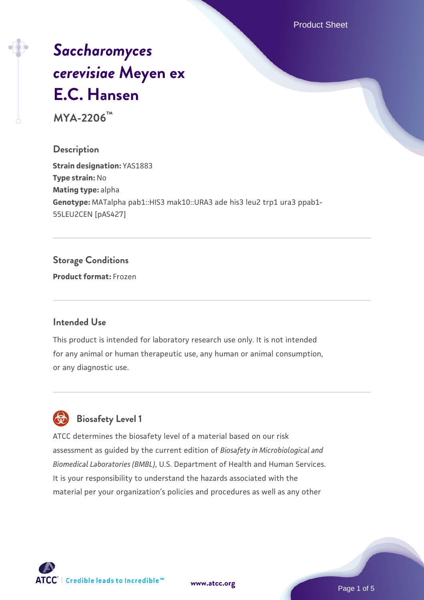Product Sheet

# *[Saccharomyces](https://www.atcc.org/products/mya-2206) [cerevisiae](https://www.atcc.org/products/mya-2206)* **[Meyen ex](https://www.atcc.org/products/mya-2206) [E.C. Hansen](https://www.atcc.org/products/mya-2206)**

**MYA-2206™**

### **Description**

**Strain designation: YAS1883 Type strain:** No **Mating type:** alpha **Genotype:** MATalpha pab1::HIS3 mak10::URA3 ade his3 leu2 trp1 ura3 ppab1- 55LEU2CEN [pAS427]

### **Storage Conditions**

**Product format:** Frozen

### **Intended Use**

This product is intended for laboratory research use only. It is not intended for any animal or human therapeutic use, any human or animal consumption, or any diagnostic use.



### **Biosafety Level 1**

ATCC determines the biosafety level of a material based on our risk assessment as guided by the current edition of *Biosafety in Microbiological and Biomedical Laboratories (BMBL)*, U.S. Department of Health and Human Services. It is your responsibility to understand the hazards associated with the material per your organization's policies and procedures as well as any other



**[www.atcc.org](http://www.atcc.org)**

Page 1 of 5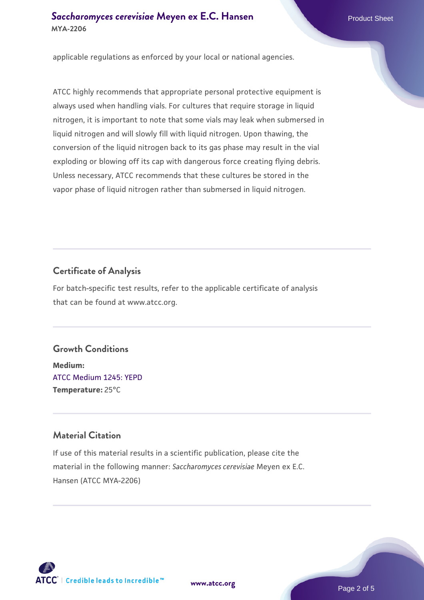### **[Saccharomyces cerevisiae](https://www.atcc.org/products/mya-2206)** [Meyen ex E.C. Hansen](https://www.atcc.org/products/mya-2206) **MYA-2206**

applicable regulations as enforced by your local or national agencies.

ATCC highly recommends that appropriate personal protective equipment is always used when handling vials. For cultures that require storage in liquid nitrogen, it is important to note that some vials may leak when submersed in liquid nitrogen and will slowly fill with liquid nitrogen. Upon thawing, the conversion of the liquid nitrogen back to its gas phase may result in the vial exploding or blowing off its cap with dangerous force creating flying debris. Unless necessary, ATCC recommends that these cultures be stored in the vapor phase of liquid nitrogen rather than submersed in liquid nitrogen.

### **Certificate of Analysis**

For batch-specific test results, refer to the applicable certificate of analysis that can be found at www.atcc.org.

#### **Growth Conditions**

**Medium:**  [ATCC Medium 1245: YEPD](https://www.atcc.org/-/media/product-assets/documents/microbial-media-formulations/1/2/4/5/atcc-medium-1245.pdf?rev=705ca55d1b6f490a808a965d5c072196) **Temperature:** 25°C

### **Material Citation**

If use of this material results in a scientific publication, please cite the material in the following manner: *Saccharomyces cerevisiae* Meyen ex E.C. Hansen (ATCC MYA-2206)



**[www.atcc.org](http://www.atcc.org)**

Page 2 of 5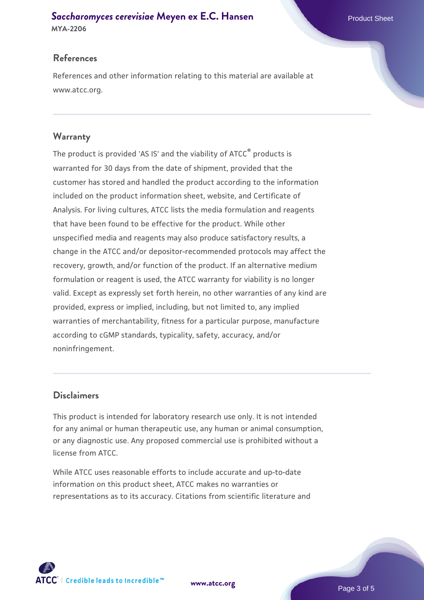## **[Saccharomyces cerevisiae](https://www.atcc.org/products/mya-2206)** [Meyen ex E.C. Hansen](https://www.atcc.org/products/mya-2206)

**MYA-2206**

### **References**

References and other information relating to this material are available at www.atcc.org.

### **Warranty**

The product is provided 'AS IS' and the viability of ATCC® products is warranted for 30 days from the date of shipment, provided that the customer has stored and handled the product according to the information included on the product information sheet, website, and Certificate of Analysis. For living cultures, ATCC lists the media formulation and reagents that have been found to be effective for the product. While other unspecified media and reagents may also produce satisfactory results, a change in the ATCC and/or depositor-recommended protocols may affect the recovery, growth, and/or function of the product. If an alternative medium formulation or reagent is used, the ATCC warranty for viability is no longer valid. Except as expressly set forth herein, no other warranties of any kind are provided, express or implied, including, but not limited to, any implied warranties of merchantability, fitness for a particular purpose, manufacture according to cGMP standards, typicality, safety, accuracy, and/or noninfringement.

### **Disclaimers**

This product is intended for laboratory research use only. It is not intended for any animal or human therapeutic use, any human or animal consumption, or any diagnostic use. Any proposed commercial use is prohibited without a license from ATCC.

While ATCC uses reasonable efforts to include accurate and up-to-date information on this product sheet, ATCC makes no warranties or representations as to its accuracy. Citations from scientific literature and

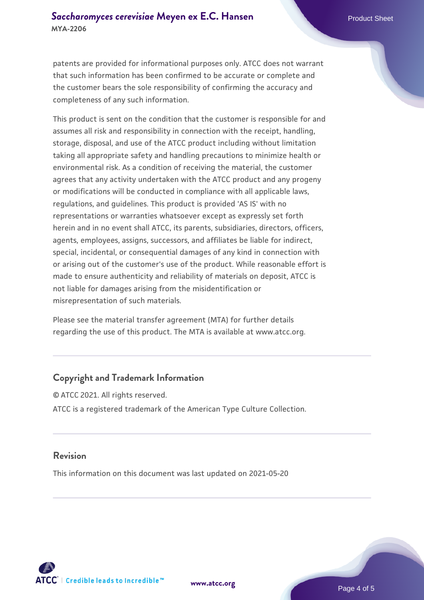patents are provided for informational purposes only. ATCC does not warrant that such information has been confirmed to be accurate or complete and the customer bears the sole responsibility of confirming the accuracy and completeness of any such information.

This product is sent on the condition that the customer is responsible for and assumes all risk and responsibility in connection with the receipt, handling, storage, disposal, and use of the ATCC product including without limitation taking all appropriate safety and handling precautions to minimize health or environmental risk. As a condition of receiving the material, the customer agrees that any activity undertaken with the ATCC product and any progeny or modifications will be conducted in compliance with all applicable laws, regulations, and guidelines. This product is provided 'AS IS' with no representations or warranties whatsoever except as expressly set forth herein and in no event shall ATCC, its parents, subsidiaries, directors, officers, agents, employees, assigns, successors, and affiliates be liable for indirect, special, incidental, or consequential damages of any kind in connection with or arising out of the customer's use of the product. While reasonable effort is made to ensure authenticity and reliability of materials on deposit, ATCC is not liable for damages arising from the misidentification or misrepresentation of such materials.

Please see the material transfer agreement (MTA) for further details regarding the use of this product. The MTA is available at www.atcc.org.

### **Copyright and Trademark Information**

© ATCC 2021. All rights reserved. ATCC is a registered trademark of the American Type Culture Collection.

### **Revision**

This information on this document was last updated on 2021-05-20



**[www.atcc.org](http://www.atcc.org)**